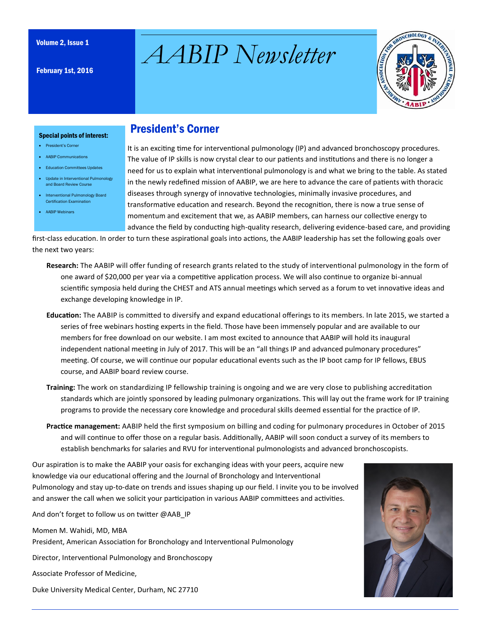February 1st, 2016

# Volume 2, Issue 1 *AABIP Newsletter*



#### Special points of interest:

- President's Corner
- AABIP Communications
- Education Committees Updates
- Update in Interventional Pulmonology and Board Review Course
- Interventional Pulmonology Board Certification Examination
- **AARIP** Webinard

#### President's Corner

It is an exciting time for interventional pulmonology (IP) and advanced bronchoscopy procedures. The value of IP skills is now crystal clear to our patients and institutions and there is no longer a need for us to explain what interventional pulmonology is and what we bring to the table. As stated in the newly redefined mission of AABIP, we are here to advance the care of patients with thoracic diseases through synergy of innovative technologies, minimally invasive procedures, and transformative education and research. Beyond the recognition, there is now a true sense of momentum and excitement that we, as AABIP members, can harness our collective energy to advance the field by conducting high-quality research, delivering evidence-based care, and providing

first-class education. In order to turn these aspirational goals into actions, the AABIP leadership has set the following goals over the next two years:

- **Research:** The AABIP will offer funding of research grants related to the study of interventional pulmonology in the form of one award of \$20,000 per year via a competitive application process. We will also continue to organize bi-annual scientific symposia held during the CHEST and ATS annual meetings which served as a forum to vet innovative ideas and exchange developing knowledge in IP.
- **Education:** The AABIP is committed to diversify and expand educational offerings to its members. In late 2015, we started a series of free webinars hosting experts in the field. Those have been immensely popular and are available to our members for free download on our website. I am most excited to announce that AABIP will hold its inaugural independent national meeting in July of 2017. This will be an "all things IP and advanced pulmonary procedures" meeting. Of course, we will continue our popular educational events such as the IP boot camp for IP fellows, EBUS course, and AABIP board review course.
- **Training:** The work on standardizing IP fellowship training is ongoing and we are very close to publishing accreditation standards which are jointly sponsored by leading pulmonary organizations. This will lay out the frame work for IP training programs to provide the necessary core knowledge and procedural skills deemed essential for the practice of IP.
- **Practice management:** AABIP held the first symposium on billing and coding for pulmonary procedures in October of 2015 and will continue to offer those on a regular basis. Additionally, AABIP will soon conduct a survey of its members to establish benchmarks for salaries and RVU for interventional pulmonologists and advanced bronchoscopists.

Our aspiration is to make the AABIP your oasis for exchanging ideas with your peers, acquire new knowledge via our educational offering and the Journal of Bronchology and Interventional Pulmonology and stay up-to-date on trends and issues shaping up our field. I invite you to be involved and answer the call when we solicit your participation in various AABIP committees and activities.

And don't forget to follow us on twitter @AAB\_IP

Momen M. Wahidi, MD, MBA President, American Association for Bronchology and Interventional Pulmonology

Director, Interventional Pulmonology and Bronchoscopy

Associate Professor of Medicine,

Duke University Medical Center, Durham, NC 27710

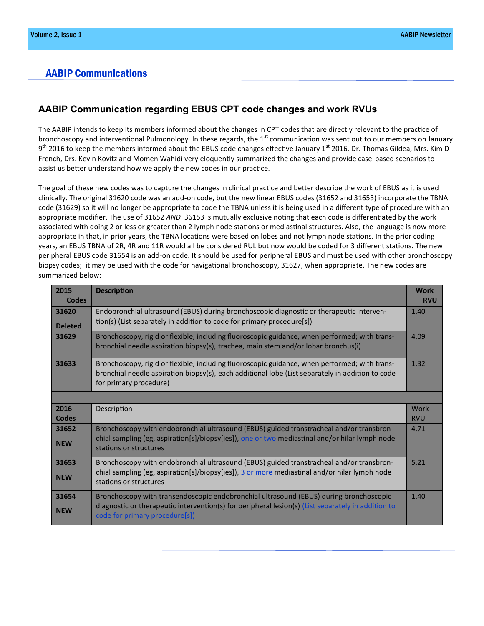#### AABIP Communications

#### **AABIP Communication regarding EBUS CPT code changes and work RVUs**

The AABIP intends to keep its members informed about the changes in CPT codes that are directly relevant to the practice of bronchoscopy and interventional Pulmonology. In these regards, the  $1<sup>st</sup>$  communication was sent out to our members on January 9<sup>th</sup> 2016 to keep the members informed about the EBUS code changes effective January 1<sup>st</sup> 2016. Dr. Thomas Gildea, Mrs. Kim D French, Drs. Kevin Kovitz and Momen Wahidi very eloquently summarized the changes and provide case-based scenarios to assist us better understand how we apply the new codes in our practice.

The goal of these new codes was to capture the changes in clinical practice and better describe the work of EBUS as it is used clinically. The original 31620 code was an add-on code, but the new linear EBUS codes (31652 and 31653) incorporate the TBNA code (31629) so it will no longer be appropriate to code the TBNA unless it is being used in a different type of procedure with an appropriate modifier. The use of 31652 *AND* 36153 is mutually exclusive noting that each code is differentiated by the work associated with doing 2 or less or greater than 2 lymph node stations or mediastinal structures. Also, the language is now more appropriate in that, in prior years, the TBNA locations were based on lobes and not lymph node stations. In the prior coding years, an EBUS TBNA of 2R, 4R and 11R would all be considered RUL but now would be coded for 3 different stations. The new peripheral EBUS code 31654 is an add-on code. It should be used for peripheral EBUS and must be used with other bronchoscopy biopsy codes; it may be used with the code for navigational bronchoscopy, 31627, when appropriate. The new codes are summarized below:

| 2015<br><b>Codes</b>    | <b>Description</b>                                                                                                                                                                                                             | <b>Work</b><br><b>RVU</b> |
|-------------------------|--------------------------------------------------------------------------------------------------------------------------------------------------------------------------------------------------------------------------------|---------------------------|
| 31620<br><b>Deleted</b> | Endobronchial ultrasound (EBUS) during bronchoscopic diagnostic or therapeutic interven-<br>tion(s) (List separately in addition to code for primary procedure[s])                                                             | 1.40                      |
| 31629                   | Bronchoscopy, rigid or flexible, including fluoroscopic guidance, when performed; with trans-<br>bronchial needle aspiration biopsy(s), trachea, main stem and/or lobar bronchus(i)                                            | 4.09                      |
| 31633                   | Bronchoscopy, rigid or flexible, including fluoroscopic guidance, when performed; with trans-<br>bronchial needle aspiration biopsy(s), each additional lobe (List separately in addition to code<br>for primary procedure)    | 1.32                      |
|                         |                                                                                                                                                                                                                                |                           |
| 2016<br><b>Codes</b>    | Description                                                                                                                                                                                                                    | Work<br><b>RVU</b>        |
| 31652<br><b>NEW</b>     | Bronchoscopy with endobronchial ultrasound (EBUS) guided transtracheal and/or transbron-<br>chial sampling (eg, aspiration[s]/biopsy[ies]), one or two mediastinal and/or hilar lymph node<br>stations or structures           | 4.71                      |
| 31653<br><b>NEW</b>     | Bronchoscopy with endobronchial ultrasound (EBUS) guided transtracheal and/or transbron-<br>chial sampling (eg, aspiration[s]/biopsy[ies]), 3 or more mediastinal and/or hilar lymph node<br>stations or structures            | 5.21                      |
| 31654<br><b>NEW</b>     | Bronchoscopy with transendoscopic endobronchial ultrasound (EBUS) during bronchoscopic<br>diagnostic or therapeutic intervention(s) for peripheral lesion(s) (List separately in addition to<br>code for primary procedure[s]) | 1.40                      |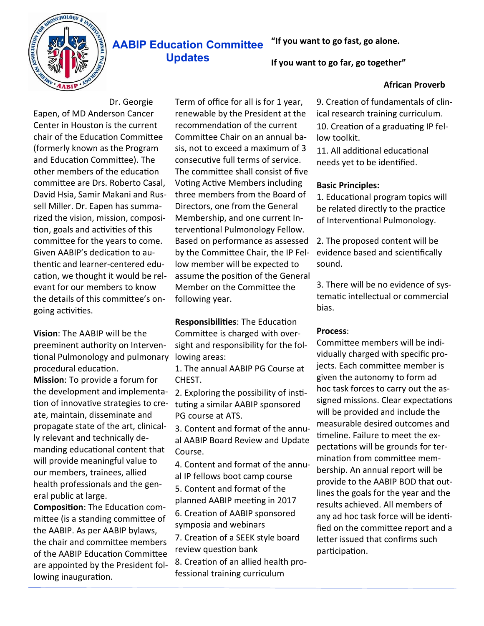**"If you want to go fast, go alone.** 



## **AABIP Education Committee**

**Updates**

**If you want to go far, go together"** 

#### **African Proverb**

Dr. Georgie

Eapen, of MD Anderson Cancer Center in Houston is the current chair of the Education Committee (formerly known as the Program and Education Committee). The other members of the education committee are Drs. Roberto Casal, David Hsia, Samir Makani and Russell Miller. Dr. Eapen has summarized the vision, mission, composition, goals and activities of this committee for the years to come. Given AABIP's dedication to authentic and learner-centered education, we thought it would be relevant for our members to know the details of this committee's ongoing activities.

**Vision**: The AABIP will be the preeminent authority on Interventional Pulmonology and pulmonary procedural education. **Mission**: To provide a forum for the development and implementation of innovative strategies to create, maintain, disseminate and propagate state of the art, clinically relevant and technically demanding educational content that will provide meaningful value to our members, trainees, allied health professionals and the general public at large.

**Composition**: The Education committee (is a standing committee of the AABIP. As per AABIP bylaws, the chair and committee members of the AABIP Education Committee are appointed by the President following inauguration.

Term of office for all is for 1 year, renewable by the President at the recommendation of the current Committee Chair on an annual basis, not to exceed a maximum of 3 consecutive full terms of service. The committee shall consist of five Voting Active Members including three members from the Board of Directors, one from the General Membership, and one current Interventional Pulmonology Fellow. Based on performance as assessed by the Committee Chair, the IP Fellow member will be expected to assume the position of the General Member on the Committee the following year.

**Responsibilities**: The Education Committee is charged with oversight and responsibility for the following areas:

1. The annual AABIP PG Course at CHEST.

2. Exploring the possibility of instituting a similar AABIP sponsored PG course at ATS.

3. Content and format of the annual AABIP Board Review and Update Course.

4. Content and format of the annual IP fellows boot camp course

5. Content and format of the planned AABIP meeting in 2017 6. Creation of AABIP sponsored

symposia and webinars

7. Creation of a SEEK style board review question bank

8. Creation of an allied health professional training curriculum

9. Creation of fundamentals of clinical research training curriculum. 10. Creation of a graduating IP fellow toolkit.

11. All additional educational needs yet to be identified.

#### **Basic Principles:**

1. Educational program topics will be related directly to the practice of Interventional Pulmonology.

2. The proposed content will be evidence based and scientifically sound.

3. There will be no evidence of systematic intellectual or commercial bias.

#### **Process**:

Committee members will be individually charged with specific projects. Each committee member is given the autonomy to form ad hoc task forces to carry out the assigned missions. Clear expectations will be provided and include the measurable desired outcomes and timeline. Failure to meet the expectations will be grounds for termination from committee membership. An annual report will be provide to the AABIP BOD that outlines the goals for the year and the results achieved. All members of any ad hoc task force will be identified on the committee report and a letter issued that confirms such participation.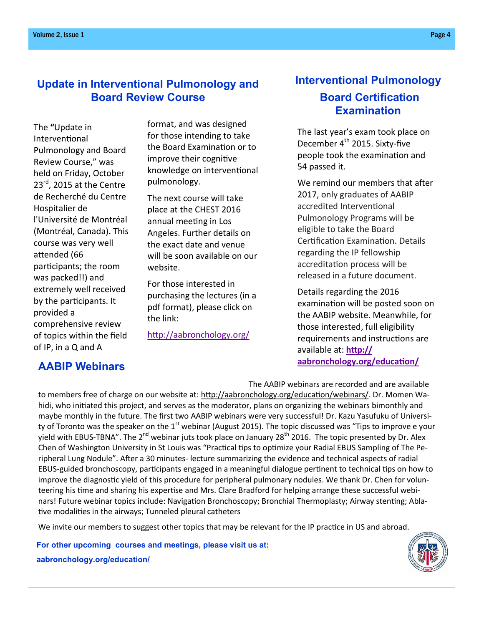#### **Update in Interventional Pulmonology and Board Review Course**

The **"**Update in Interventional Pulmonology and Board Review Course," was held on Friday, October  $23<sup>rd</sup>$ , 2015 at the Centre de Recherché du Centre Hospitalier de l'Université de Montréal (Montréal, Canada). This course was very well attended (66 participants; the room was packed!!) and extremely well received by the participants. It provided a comprehensive review of topics within the field of IP, in a Q and A

#### **AABIP Webinars**

format, and was designed for those intending to take the Board Examination or to improve their cognitive knowledge on interventional pulmonology.

The next course will take place at the CHEST 2016 annual meeting in Los Angeles. Further details on the exact date and venue will be soon available on our website.

For those interested in purchasing the lectures (in a pdf format), please click on the link:

[http://aabronchology.org/](http://aabronchology.org/education/courses/interventional-pulmonary-update-and-board-review-course-2015/)

### **Interventional Pulmonology Board Certification Examination**

The last year's exam took place on December 4<sup>th</sup> 2015. Sixty-five people took the examination and 54 passed it.

We remind our members that after 2017, only graduates of AABIP accredited Interventional Pulmonology Programs will be eligible to take the Board Certification Examination. Details regarding the IP fellowship accreditation process will be released in a future document.

Details regarding the 2016 examination will be posted soon on the AABIP website. Meanwhile, for those interested, full eligibility requirements and instructions are available at: **[http://](http://aabronchology.org/education/board-certification/) [aabronchology.org/education/](http://aabronchology.org/education/board-certification/)**

The AABIP webinars are recorded and are available

to members free of charge on our website at: [http://aabronchology.org/education/webinars/.](http://aabronchology.org/education/webinars/) Dr. Momen Wahidi, who initiated this project, and serves as the moderator, plans on organizing the webinars bimonthly and maybe monthly in the future. The first two AABIP webinars were very successful! Dr. Kazu Yasufuku of University of Toronto was the speaker on the  $1<sup>st</sup>$  webinar (August 2015). The topic discussed was "Tips to improve e your yield with EBUS-TBNA". The 2<sup>nd</sup> webinar juts took place on January 28<sup>th</sup> 2016. The topic presented by Dr. Alex Chen of Washington University in St Louis was "Practical tips to optimize your Radial EBUS Sampling of The Peripheral Lung Nodule". After a 30 minutes- lecture summarizing the evidence and technical aspects of radial EBUS-guided bronchoscopy, participants engaged in a meaningful dialogue pertinent to technical tips on how to improve the diagnostic yield of this procedure for peripheral pulmonary nodules. We thank Dr. Chen for volunteering his time and sharing his expertise and Mrs. Clare Bradford for helping arrange these successful webinars! Future webinar topics include: Navigation Bronchoscopy; Bronchial Thermoplasty; Airway stenting; Ablative modalities in the airways; Tunneled pleural catheters

We invite our members to suggest other topics that may be relevant for the IP practice in US and abroad.

**For other upcoming courses and meetings, please visit us at:**

**aabronchology.org/education/**